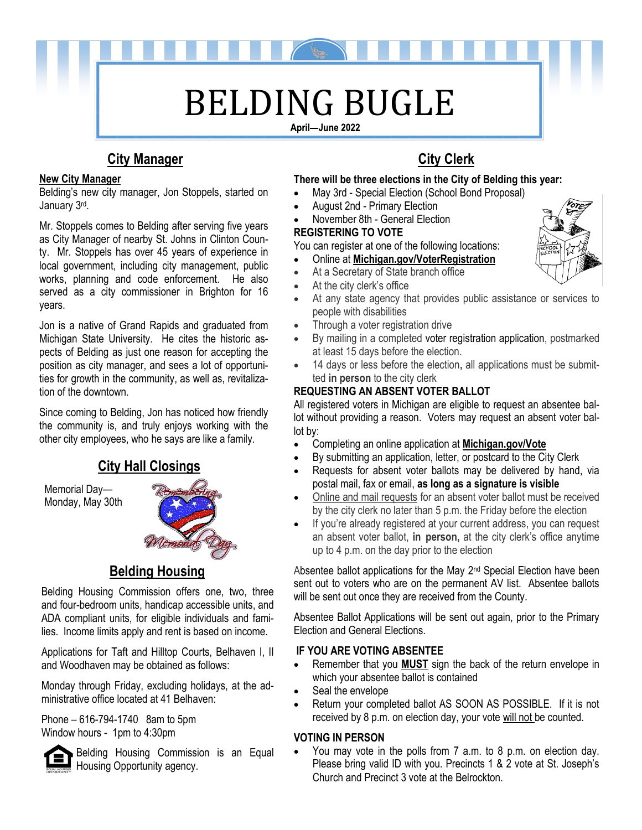

# **City Manager City Clerk**

#### **New City Manager**

Belding's new city manager, Jon Stoppels, started on January 3rd .

Mr. Stoppels comes to Belding after serving five years as City Manager of nearby St. Johns in Clinton County. Mr. Stoppels has over 45 years of experience in local government, including city management, public works, planning and code enforcement. He also served as a city commissioner in Brighton for 16 years.

Jon is a native of Grand Rapids and graduated from Michigan State University. He cites the historic aspects of Belding as just one reason for accepting the position as city manager, and sees a lot of opportunities for growth in the community, as well as, revitalization of the downtown.

Since coming to Belding, Jon has noticed how friendly the community is, and truly enjoys working with the other city employees, who he says are like a family.

# **City Hall Closings**

Memorial Day— Monday, May 30th



# **Belding Housing**

 Belding Housing Commission offers one, two, three and four-bedroom units, handicap accessible units, and ADA compliant units, for eligible individuals and families. Income limits apply and rent is based on income.

Applications for Taft and Hilltop Courts, Belhaven I, II and Woodhaven may be obtained as follows:

Monday through Friday, excluding holidays, at the administrative office located at 41 Belhaven:

Phone – 616-794-1740 8am to 5pm Window hours - 1pm to 4:30pm



Belding Housing Commission is an Equal Housing Opportunity agency.

#### **There will be three elections in the City of Belding this year:**

- May 3rd Special Election (School Bond Proposal)
- August 2nd Primary Election
- November 8th General Election **REGISTERING TO VOTE**

You can register at one of the following locations:

- Online at **[Michigan.gov/VoterRegistration](https://mvic.sos.state.mi.us/RegisterVoter/Index)**
- At a Secretary of State branch office
- At the city clerk's office
- At any state agency that provides public assistance or services to people with disabilities
- Through a voter registration drive
- By mailing in a completed [voter registration application,](https://www.michigan.gov/sos/0,4670,7-127-1633_8716---,00.html) postmarked at least 15 days before the election.
- 14 days or less before the election**,** all applications must be submitted **in person** to the city clerk

### **REQUESTING AN ABSENT VOTER BALLOT**

All registered voters in Michigan are eligible to request an absentee ballot without providing a reason. Voters may request an absent voter ballot by:

- Completing an online application at **[Michigan.gov/Vote](https://mvic.sos.state.mi.us/)**
- By submitting an application, letter, or postcard to the City Clerk
- Requests for absent voter ballots may be delivered by hand, via postal mail, fax or email, **as long as a signature is visible**
- Online and mail requests for an absent voter ballot must be received by the city clerk no later than 5 p.m. the Friday before the election
- If you're already registered at your current address, you can request an absent voter ballot, **in person,** at the city clerk's office anytime up to 4 p.m. on the day prior to the election

Absentee ballot applications for the May 2nd Special Election have been sent out to voters who are on the permanent AV list. Absentee ballots will be sent out once they are received from the County.

 Absentee Ballot Applications will be sent out again, prior to the Primary Election and General Elections.

#### **IF YOU ARE VOTING ABSENTEE**

- Remember that you **MUST** sign the back of the return envelope in which your absentee ballot is contained
- Seal the envelope
- Return your completed ballot AS SOON AS POSSIBLE. If it is not received by 8 p.m. on election day, your vote will not be counted.

#### **VOTING IN PERSON**

• You may vote in the polls from 7 a.m. to 8 p.m. on election day. Please bring valid ID with you. Precincts 1 & 2 vote at St. Joseph's Church and Precinct 3 vote at the Belrockton.

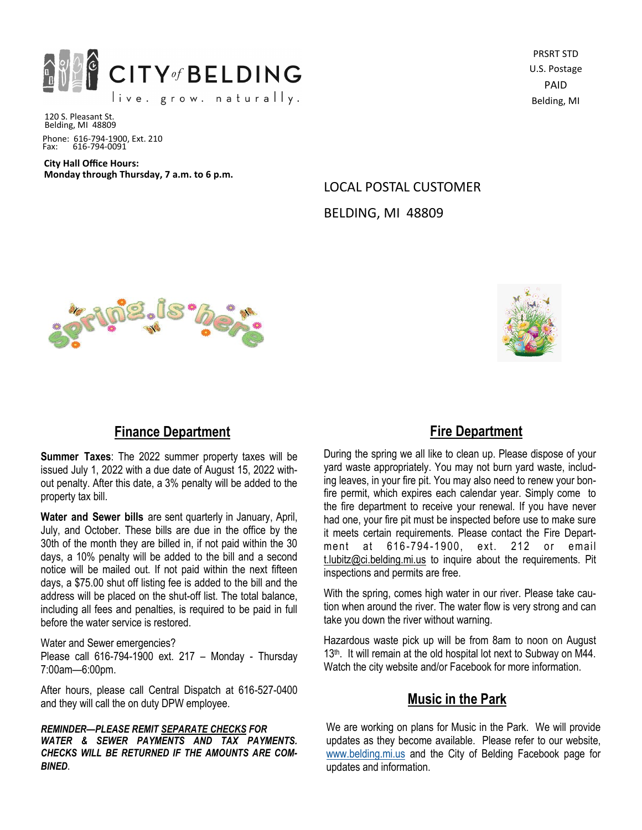

PRSRT STD U.S. Postage PAID Belding, MI

120 S. Pleasant St. Belding, MI 48809 Phone: 616-794-1900, Ext. 210 Fax: 616-794-0091

**City Hall Office Hours: Monday through Thursday, 7 a.m. to 6 p.m.**

> LOCAL POSTAL CUSTOMER BELDING, MI 48809





# **Finance Department**

**Summer Taxes**: The 2022 summer property taxes will be issued July 1, 2022 with a due date of August 15, 2022 without penalty. After this date, a 3% penalty will be added to the property tax bill.

**Water and Sewer bills** are sent quarterly in January, April, July, and October. These bills are due in the office by the 30th of the month they are billed in, if not paid within the 30 days, a 10% penalty will be added to the bill and a second notice will be mailed out. If not paid within the next fifteen days, a \$75.00 shut off listing fee is added to the bill and the address will be placed on the shut-off list. The total balance, including all fees and penalties, is required to be paid in full before the water service is restored.

Water and Sewer emergencies?

Please call 616-794-1900 ext. 217 – Monday - Thursday 7:00am—6:00pm.

After hours, please call Central Dispatch at 616-527-0400 and they will call the on duty DPW employee.

*REMINDER—PLEASE REMIT SEPARATE CHECKS FOR WATER & SEWER PAYMENTS AND TAX PAYMENTS. CHECKS WILL BE RETURNED IF THE AMOUNTS ARE COM-BINED*.

# **Fire Department**

During the spring we all like to clean up. Please dispose of your yard waste appropriately. You may not burn yard waste, including leaves, in your fire pit. You may also need to renew your bonfire permit, which expires each calendar year. Simply come to the fire department to receive your renewal. If you have never had one, your fire pit must be inspected before use to make sure it meets certain requirements. Please contact the Fire Department at 616 -794-1900, ext. 212 or email t.lubitz@ci.belding.mi.us to inquire about the requirements. Pit inspections and permits are free.

With the spring, comes high water in our river. Please take caution when around the river. The water flow is very strong and can take you down the river without warning.

Hazardous waste pick up will be from 8am to noon on August 13<sup>th</sup>. It will remain at the old hospital lot next to Subway on M44. Watch the city website and/or Facebook for more information.

# **Music in the Park**

We are working on plans for Music in the Park. We will provide updates as they become available. Please refer to our website, www.belding.mi.us [and the City of Belding Facebook page for](http://www.cityofbelding.net./)  [updates and information.](http://www.cityofbelding.net./)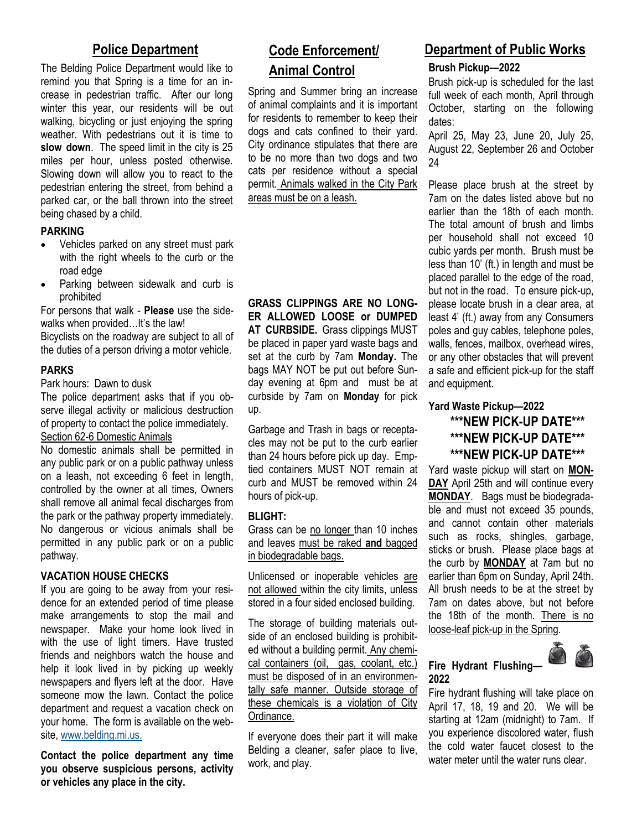The Belding Police Department would like to remind you that Spring is a time for an increase in pedestrian traffic. After our long winter this year, our residents will be out walking, bicycling or just enjoying the spring weather. With pedestrians out it is time to **slow down**. The speed limit in the city is 25 miles per hour, unless posted otherwise. Slowing down will allow you to react to the pedestrian entering the street, from behind a parked car, or the ball thrown into the street being chased by a child.

#### **PARKING**

- Vehicles parked on any street must park with the right wheels to the curb or the road edge
- Parking between sidewalk and curb is prohibited

For persons that walk - **Please** use the sidewalks when provided...It's the law!

Bicyclists on the roadway are subject to all of the duties of a person driving a motor vehicle.

#### **PARKS**

Park hours: Dawn to dusk

The police department asks that if you observe illegal activity or malicious destruction of property to contact the police immediately. Section 62-6 Domestic Animals

No domestic animals shall be permitted in any public park or on a public pathway unless on a leash, not exceeding 6 feet in length, controlled by the owner at all times, Owners shall remove all animal fecal discharges from the park or the pathway property immediately. No dangerous or vicious animals shall be permitted in any public park or on a public pathway.

#### **VACATION HOUSE CHECKS**

If you are going to be away from your residence for an extended period of time please make arrangements to stop the mail and newspaper. Make your home look lived in with the use of light timers. Have trusted friends and neighbors watch the house and help it look lived in by picking up weekly newspapers and flyers left at the door. Have someone mow the lawn. Contact the police department and request a vacation check on your home. The form is available on the website, [www.belding.mi.us.](http://www.cityofbelding.net./)

**Contact the police department any time you observe suspicious persons, activity or vehicles any place in the city.** 

# **Police Department Code Enforcement/ Animal Control**

Spring and Summer bring an increase of animal complaints and it is important for residents to remember to keep their dogs and cats confined to their yard. City ordinance stipulates that there are to be no more than two dogs and two cats per residence without a special permit. Animals walked in the City Park areas must be on a leash.

**GRASS CLIPPINGS ARE NO LONG-ER ALLOWED LOOSE or DUMPED AT CURBSIDE.** Grass clippings MUST be placed in paper yard waste bags and set at the curb by 7am **Monday.** The bags MAY NOT be put out before Sunday evening at 6pm and must be at curbside by 7am on **Monday** for pick up.

Garbage and Trash in bags or receptacles may not be put to the curb earlier than 24 hours before pick up day. Emptied containers MUST NOT remain at curb and MUST be removed within 24 hours of pick-up.

#### **BLIGHT:**

Grass can be no longer than 10 inches and leaves must be raked **and** bagged in biodegradable bags.

Unlicensed or inoperable vehicles are not allowed within the city limits, unless stored in a four sided enclosed building.

The storage of building materials outside of an enclosed building is prohibited without a building permit. Any chemical containers (oil, gas, coolant, etc.) must be disposed of in an environmentally safe manner. Outside storage of these chemicals is a violation of City Ordinance.

If everyone does their part it will make Belding a cleaner, safer place to live, work, and play.

# **Department of Public Works**

**Brush Pickup—2022**

Brush pick-up is scheduled for the last full week of each month, April through October, starting on the following dates:

April 25, May 23, June 20, July 25, August 22, September 26 and October 24

Please place brush at the street by 7am on the dates listed above but no earlier than the 18th of each month. The total amount of brush and limbs per household shall not exceed 10 cubic yards per month. Brush must be less than 10' (ft.) in length and must be placed parallel to the edge of the road, but not in the road. To ensure pick-up, please locate brush in a clear area, at least 4' (ft.) away from any Consumers poles and guy cables, telephone poles, walls, fences, mailbox, overhead wires, or any other obstacles that will prevent a safe and efficient pick-up for the staff and equipment.

# **Yard Waste Pickup—2022 \*\*\*NEW PICK-UP DATE\*\*\* \*\*\*NEW PICK-UP DATE\*\*\* \*\*\*NEW PICK-UP DATE\*\*\***

Yard waste pickup will start on **MON-DAY** April 25th and will continue every **MONDAY**. Bags must be biodegradable and must not exceed 35 pounds, and cannot contain other materials such as rocks, shingles, garbage, sticks or brush. Please place bags at the curb by **MONDAY** at 7am but no earlier than 6pm on Sunday, April 24th. All brush needs to be at the street by 7am on dates above, but not before the 18th of the month. There is no loose-leaf pick-up in the Spring.



### **Fire Hydrant Flushing— 2022**

Fire hydrant flushing will take place on April 17, 18, 19 and 20. We will be starting at 12am (midnight) to 7am. If you experience discolored water, flush the cold water faucet closest to the water meter until the water runs clear.